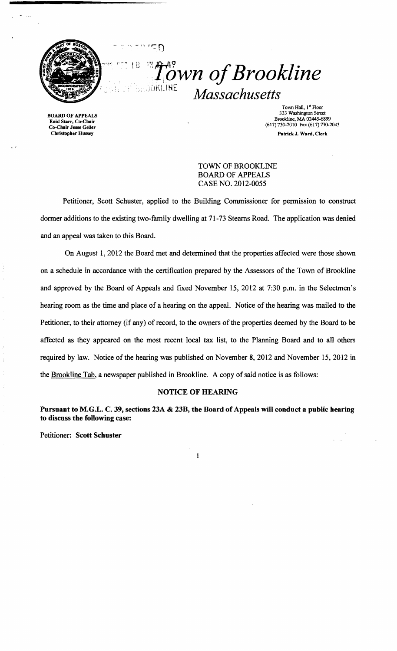

<sup>18</sup> <sup>*if*</sup> *<sup><i>n*</sup></sub><sup>*n*</sup></sup> *of Brookline Massachusetts* 

BOARD OF APPEAlS Enid Starr, Co-Cbair Co-Chair Jesse Geller Christopber Hussey

Town Hall, 1st Floor 333 Washington Street Brookline, MA 02445-6899 (617) 730-2010 Fax (617) 730-2043 Patrick J. Ward, Clerk

TOWN OF BROOKLINE BOARD OF APPEALS CASE NO. 2012-0055

Petitioner, Scott Schuster, applied to the Building Commissioner for permission to construct dormer additions to the existing two-family dwelling at 71-73 Steams Road. The application was denied and an appeal was taken to this Board.

 $\subset \cap$ 

On August 1,2012 the Board met and determined that the properties affected were those shown on a schedule in accordance with the certification prepared by the Assessors of the Town of Brookline and approved by the Board of Appeals and fixed November 15, 2012 at 7:30 p.m. in the Selectmen's hearing room as the time and place of a hearing on the appeaL Notice of the hearing was mailed to the Petitioner, to their attorney (if any) of record, to the owners of the properties deemed by the Board to be affected as they appeared on the most recent local tax list, to the Planning Board and to all others required by law. Notice of the hearing was published on November 8,2012 and November 15, 2012 in the Brookline Tab, a newspaper published in Brookline. A copy of said notice is as follows:

## NOTICE OF HEARING

Pursuant to M.G.L. C. 39, sections 23A & 23B, the Board of Appeals will conduct a public bearing to discuss the following case:

 $\mathbf{I}% _{t}\left| \mathbf{I}_{t}\right| ^{-1}\left| \mathbf{I}_{t}\right| ^{-1}\left| \mathbf{I}_{t}\right| ^{-1}\left| \mathbf{I}_{t}\right| ^{-1}\left| \mathbf{I}_{t}\right| ^{-1}\left| \mathbf{I}_{t}\right| ^{-1}\left| \mathbf{I}_{t}\right| ^{-1}\left| \mathbf{I}_{t}\right| ^{-1}\left| \mathbf{I}_{t}\right| ^{-1}\left| \mathbf{I}_{t}\right| ^{-1}\left| \mathbf{I}_{t}\right| ^{-1}\left| \mathbf{I}_{t}\right| ^{-1}\left| \mathbf{I}_{t}\right| ^{-1}\left|$ 

Petitioner: Scott Schuster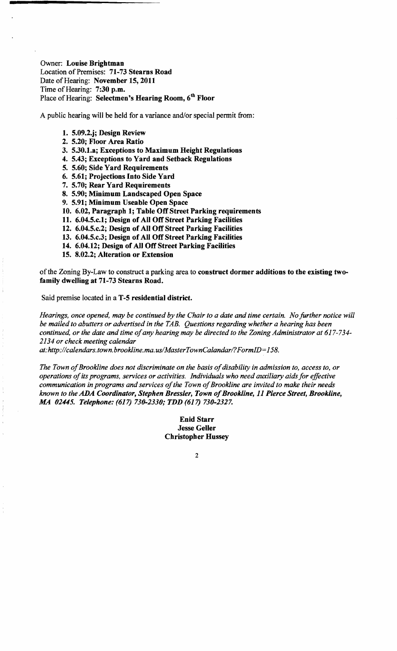Owner: Louise Brightman Location of Premises: 71-73 Stearns Road Date of Hearing: November 15, 2011 Time of Hearing: 7:30 p.m. Place of Hearing: Selectmen's Hearing Room, 6<sup>th</sup> Floor

A public hearing will be held for a variance and/or special permit from:

## 1. 5.09.2.j; Design Review

- 2. 5.20; Floor Area Ratio
- 3. 5.30.1.a; Exceptions to Maximum Height Regulations
- 4. 5.43; Exceptions to Yard and Setback Regulations
- 5. 5.60; Side Yard Requirements
- 6. 5.61; Projections Into Side Yard
- 7. 5.70; Rear Yard Requirements
- 8. 5.90; Minimum Landscaped Open Space
- 9. 5.91; Minimum Useable Open Space
- 10. 6.02, Paragraph 1; Table Off Street Parking requirements
- 11. 6.04.5.c.1; Design of All Off Street Parking Facilities
- 12. 6.04.5.c.2; Design of All Off Street Parking Facilities
- 13. 6.04.5.c.3; Design of All Off Street Parking Facilities
- 14. 6.04.12; Design of All Off Street Parking Facilities
- 15. 8.02.2; Alteration or Extension

of the Zoning By-Law to construct a parking area to construct dormer additions to the existing twofamily dwelling at 71-73 Stearns Road.

Said premise located in a T-5 residential district.

*Hearings, once opened, may be continued by the Chair to a date and time certain. No further notice will be mailed to abutters or advertised in the TAB. Questions regarding whether a hearing has been*  continued, or the date and time of any hearing may be directed to the Zoning Administrator at 617-734-*2134 or check meeting calendar* 

*at: http://calendars.town.brookline.ma.usIMasterTownCalandarl? FormID= 158.* 

The Town of Brookline does not discriminate on the basis of disability in admission to, access to, or *operations ofits programs, services or activities. Individuals who need auxiliary aids for effective communication in programs and services of the Town of Brookline are invited to make their needs known to the ADA Coordinator, Stephen Bressler, Town ofBrookline,* 11 *Pierce Street, Brookline, AlA 02445. Telephone:* (617) *730-2330; TDD* (617) *730-2327.* 

> Enid Starr Jesse Geller Christopher Hussey

> > 2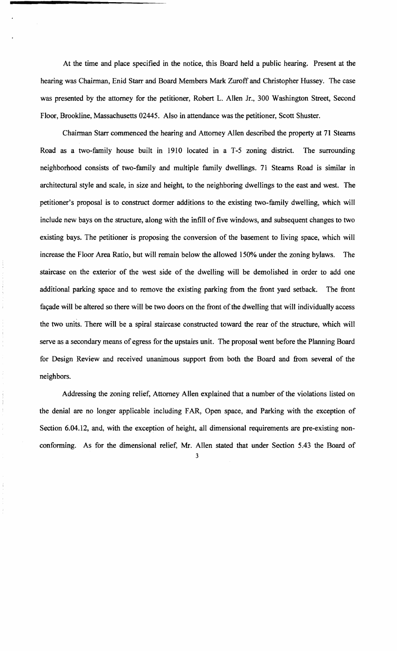At the time and place specified in the notice, this Board held a public hearing. Present at the hearing was Chairman, Enid Starr and Board Members Mark Zuroff and Christopher Hussey. The case was presented by the attorney for the petitioner, Robert L. Allen Jr., 300 Washington Street, Second Floor, Brookline, Massachusetts 02445. Also in attendance was the petitioner, Scott Shuster.

Chairman Starr commenced the hearing and Attorney Allen described the property at 71 Stearns Road as a two-family house built in 1910 located in a T-5 zoning district. The surrounding neighborhood consists of two-family and multiple family dwellings. 71 Stearns Road is similar in architectural style and scale, in size and height, to the neighboring dwellings to the east and west. The petitioner's proposal is to construct dormer additions to the existing two-family dwelling, which will include new bays on the structure, along with the infill of five windows, and subsequent changes to two existing bays. The petitioner is proposing the conversion of the basement to living space, which will increase the Floor Area Ratio, but will remain below the allowed 150% under the zoning bylaws. The staircase on the exterior of the west side of the dwelling will be demolished in order to add one additional parking space and to remove the existing parking from the front yard setback. The front façade will be altered so there will be two doors on the front of the dwelling that will individually access the two units. There will be a spiral staircase constructed toward the rear of the structure, which will serve as a secondary means of egress for the upstairs unit. The proposal went before the Planning Board for Design Review and received unanimous support from both the Board and from several of the neighbors.

Addressing the zoning relief, Attorney Allen explained that a number of the violations listed on the denial are no longer applicable including FAR, Open space, and Parking with the exception of Section 6.04.12, and, with the exception of height, all dimensional requirements are pre-existing nonconforming. As for the dimensional relief, Mr. Allen stated that under Section 5.43 the Board of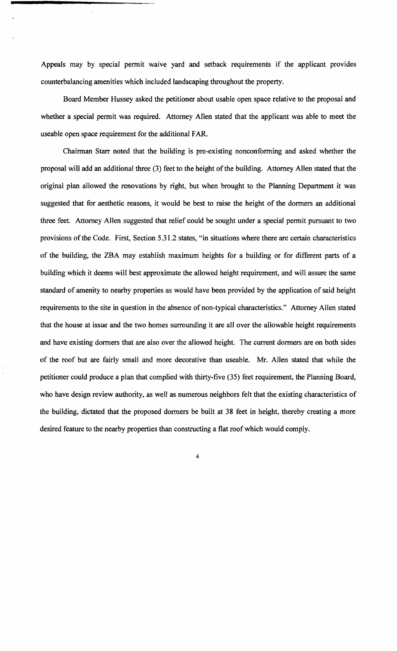Appeals may by special permit waive yard and setback requirements if the applicant provides counterbalancing amenities which included landscaping throughout the property.

Board Member Hussey asked the petitioner about usable open space relative to the proposal and whether a special permit was required. Attorney Allen stated that the applicant was able to meet the useable open space requirement for the additional FAR.

Chairman Starr noted that the building is pre-existing nonconforming and asked whether the proposal will add an additional three (3) feet to the height of the building. Attorney Allen stated that the original plan allowed the renovations by right, but when brought to the Planning Department it was suggested that for aesthetic reasons, it would be best to raise the height of the donners an additional three feet. Attorney Allen suggested that relief could be sought under a special permit pursuant to two provisions of the Code. First, Section 5.31.2 states, "in situations where there are certain characteristics of the building, the ZBA may establish maximum heights for a building or for different parts of a building which it deems will best approximate the allowed height requirement, and will assure the same standard of amenity to nearby properties as would have been provided by the application of said height requirements to the site in question in the absence of non-typical characteristics." Attorney Allen stated that the house at issue and the two homes surrounding it are all over the allowable height requirements and have existing dormers that are also over the allowed height. The current dormers are on both sides of the roof but are fairly small and more decorative than useable. Mr. Allen stated that while the petitioner could produce a plan that complied with thirty-five (35) feet requirement, the Planning Board, who have design review authority, as well as numerous neighbors felt that the existing characteristics of the building, dictated that the proposed donners be built at 38 feet in height, thereby creating a more desired feature to the nearby properties than constructing a flat roof which would comply.

4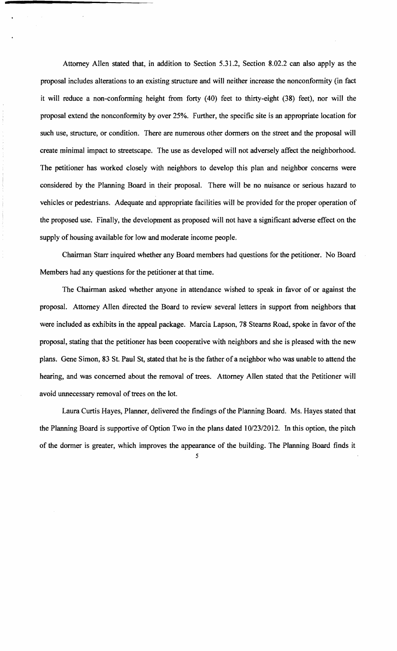Attorney Allen stated that, in addition to Section 5.31.2, Section 8.02.2 can also apply as the proposal includes alterations to an existing structure and will neither increase the nonconformity (in fact it will reduce a non-conforming height from forty (40) feet to thirty-eight (38) feet), nor will the proposal extend the nonconformity by over 25%. Further, the specific site is an appropriate location for such use, structure, or condition. There are numerous other dormers on the street and the proposal will create minimal impact to streetscape. The use as developed will not adversely affect the neighborhood. The petitioner has worked closely with neighbors to develop this plan and neighbor concerns were considered by the Planning Board in their proposal. There will be no nuisance or serious hazard to vehicles or pedestrians. Adequate and appropriate facilities will be provided for the proper operation of the proposed use. Finally, the development as proposed will not have a significant adverse effect on the supply of housing available for low and moderate income people.

Chairman Starr inquired whether any Board members had questions for the petitioner. No Board Members had any questions for the petitioner at that time.

The Chairman asked whether anyone in attendance wished to speak in favor of or against the proposal. Attorney Allen directed the Board to review several letters in support from neighbors that were included as exhibits in the appeal package. Marcia Lapson, 78 Stearns Road, spoke in favor of the proposal, stating that the petitioner has been cooperative with neighbors and she is pleased with the new plans. Gene Simon, 83 St. Paul St, stated that he is the father of a neighbor who was unable to attend the hearing, and was concerned about the removal of trees. Attorney Allen stated that the Petitioner will avoid unnecessary removal of trees on the lot.

Laura Curtis Hayes, Planner, delivered the findings of the Planning Board. Ms. Hayes stated that the Planning Board is supportive of Option Two in the plans dated 10/23/2012. In this option, the pitch of the dormer is greater, which improves the appearance of the building. The Planning Board finds it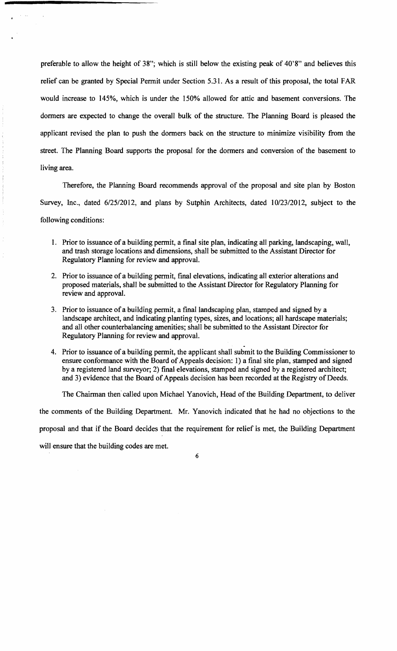preferable to allow the height of 38"; which is still below the existing peak of 40'8" and believes this relief can be granted by Special Permit under Section 5.31. As a result of this proposal, the total FAR would increase to 145%, which is under the 150% allowed for attic and basement conversions. The dormers are expected to change the overall bulk of the structure. The Planning Board is pleased the applicant revised the plan to push the dormers back on the structure to minimize visibility from the street. The Planning Board supports the proposal for the dormers and conversion of the basement to living area.

Therefore, the Planning Board recommends approval of the proposal and site plan by Boston Survey, Inc., dated 6/25/2012, and plans by Sutphin Architects, dated 10/23/2012, subject to the following conditions:

- 1. Prior to issuance of a building permit, a final site plan, indicating all parking, landscaping, wall, and trash storage locations and dimensions, shall be submitted to the Assistant Director for Regulatory Planning for review and approval.
- 2. Prior to issuance of a building permit, final elevations, indicating all exterior alterations and proposed materials, shall be submitted to the Assistant Director for Regulatory Planning for review and approval.
- 3. Prior to issuance of a building permit, a final landscaping plan, stamped and signed by a landscape architect, and indicating planting types, sizes, and locations; all hardscape materials; and all other counterbalancing amenities; shall be submitted to the Assistant Director for Regulatory Planning for review and approval.
- . 4. Prior to issuance of a building permit, the applicant shall submit to the Building Commissioner to ensure conformance with the Board of Appeals decision: 1) a fmal site plan, stamped and signed by a registered land surveyor; 2) final elevations, stamped and signed by a registered architect; and 3) evidence that the Board of Appeals decision has been recorded at the Registry of Deeds.

The Chairman then' called upon Michael Yanovich, Head of the Building Department, to deliver

the comments of the Building Department. Mr. Yanovich indicated that he had no objections to the

proposal and that if the Board decides that the requirement for relief is met, the Building Department

will ensure that the building codes are met.